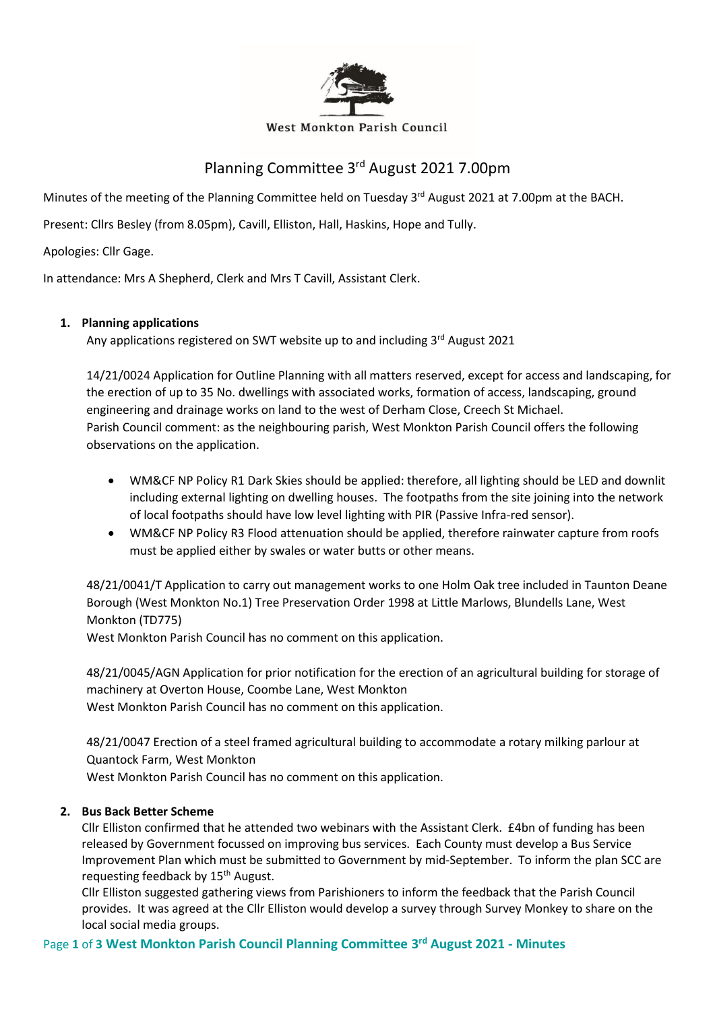

#### West Monkton Parish Council

# Planning Committee 3<sup>rd</sup> August 2021 7.00pm

Minutes of the meeting of the Planning Committee held on Tuesday 3<sup>rd</sup> August 2021 at 7.00pm at the BACH.

Present: Cllrs Besley (from 8.05pm), Cavill, Elliston, Hall, Haskins, Hope and Tully.

Apologies: Cllr Gage.

In attendance: Mrs A Shepherd, Clerk and Mrs T Cavill, Assistant Clerk.

## **1. Planning applications**

Any applications registered on SWT website up to and including 3<sup>rd</sup> August 2021

14/21/0024 Application for Outline Planning with all matters reserved, except for access and landscaping, for the erection of up to 35 No. dwellings with associated works, formation of access, landscaping, ground engineering and drainage works on land to the west of Derham Close, Creech St Michael. Parish Council comment: as the neighbouring parish, West Monkton Parish Council offers the following observations on the application.

- WM&CF NP Policy R1 Dark Skies should be applied: therefore, all lighting should be LED and downlit including external lighting on dwelling houses. The footpaths from the site joining into the network of local footpaths should have low level lighting with PIR (Passive Infra-red sensor).
- WM&CF NP Policy R3 Flood attenuation should be applied, therefore rainwater capture from roofs must be applied either by swales or water butts or other means.

48/21/0041/T Application to carry out management works to one Holm Oak tree included in Taunton Deane Borough (West Monkton No.1) Tree Preservation Order 1998 at Little Marlows, Blundells Lane, West Monkton (TD775)

West Monkton Parish Council has no comment on this application.

48/21/0045/AGN Application for prior notification for the erection of an agricultural building for storage of machinery at Overton House, Coombe Lane, West Monkton

West Monkton Parish Council has no comment on this application.

48/21/0047 Erection of a steel framed agricultural building to accommodate a rotary milking parlour at Quantock Farm, West Monkton

West Monkton Parish Council has no comment on this application.

## **2. Bus Back Better Scheme**

Cllr Elliston confirmed that he attended two webinars with the Assistant Clerk. £4bn of funding has been released by Government focussed on improving bus services. Each County must develop a Bus Service Improvement Plan which must be submitted to Government by mid-September. To inform the plan SCC are requesting feedback by 15<sup>th</sup> August.

Cllr Elliston suggested gathering views from Parishioners to inform the feedback that the Parish Council provides. It was agreed at the Cllr Elliston would develop a survey through Survey Monkey to share on the local social media groups.

## Page **1** of **3 West Monkton Parish Council Planning Committee 3 rd August 2021 - Minutes**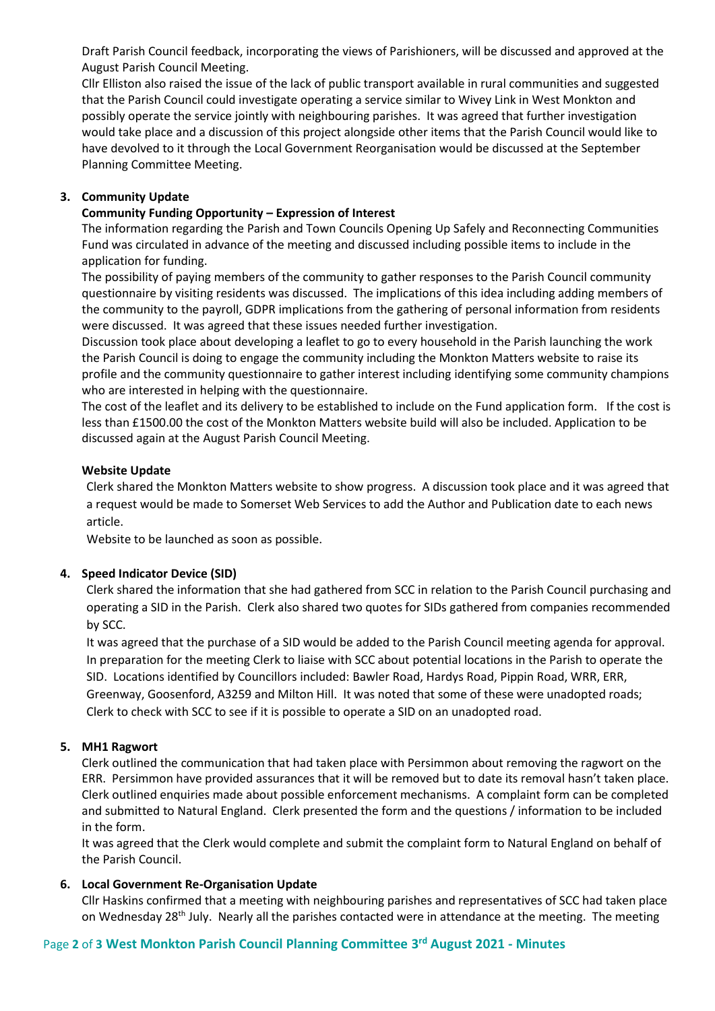Draft Parish Council feedback, incorporating the views of Parishioners, will be discussed and approved at the August Parish Council Meeting.

Cllr Elliston also raised the issue of the lack of public transport available in rural communities and suggested that the Parish Council could investigate operating a service similar to Wivey Link in West Monkton and possibly operate the service jointly with neighbouring parishes. It was agreed that further investigation would take place and a discussion of this project alongside other items that the Parish Council would like to have devolved to it through the Local Government Reorganisation would be discussed at the September Planning Committee Meeting.

### **3. Community Update**

### **Community Funding Opportunity – Expression of Interest**

The information regarding the Parish and Town Councils Opening Up Safely and Reconnecting Communities Fund was circulated in advance of the meeting and discussed including possible items to include in the application for funding.

The possibility of paying members of the community to gather responses to the Parish Council community questionnaire by visiting residents was discussed. The implications of this idea including adding members of the community to the payroll, GDPR implications from the gathering of personal information from residents were discussed. It was agreed that these issues needed further investigation.

Discussion took place about developing a leaflet to go to every household in the Parish launching the work the Parish Council is doing to engage the community including the Monkton Matters website to raise its profile and the community questionnaire to gather interest including identifying some community champions who are interested in helping with the questionnaire.

The cost of the leaflet and its delivery to be established to include on the Fund application form. If the cost is less than £1500.00 the cost of the Monkton Matters website build will also be included. Application to be discussed again at the August Parish Council Meeting.

#### **Website Update**

Clerk shared the Monkton Matters website to show progress. A discussion took place and it was agreed that a request would be made to Somerset Web Services to add the Author and Publication date to each news article.

Website to be launched as soon as possible.

## **4. Speed Indicator Device (SID)**

Clerk shared the information that she had gathered from SCC in relation to the Parish Council purchasing and operating a SID in the Parish. Clerk also shared two quotes for SIDs gathered from companies recommended by SCC.

It was agreed that the purchase of a SID would be added to the Parish Council meeting agenda for approval. In preparation for the meeting Clerk to liaise with SCC about potential locations in the Parish to operate the SID. Locations identified by Councillors included: Bawler Road, Hardys Road, Pippin Road, WRR, ERR, Greenway, Goosenford, A3259 and Milton Hill. It was noted that some of these were unadopted roads; Clerk to check with SCC to see if it is possible to operate a SID on an unadopted road.

## **5. MH1 Ragwort**

Clerk outlined the communication that had taken place with Persimmon about removing the ragwort on the ERR. Persimmon have provided assurances that it will be removed but to date its removal hasn't taken place. Clerk outlined enquiries made about possible enforcement mechanisms. A complaint form can be completed and submitted to Natural England. Clerk presented the form and the questions / information to be included in the form.

It was agreed that the Clerk would complete and submit the complaint form to Natural England on behalf of the Parish Council.

## **6. Local Government Re-Organisation Update**

Cllr Haskins confirmed that a meeting with neighbouring parishes and representatives of SCC had taken place on Wednesday 28<sup>th</sup> July. Nearly all the parishes contacted were in attendance at the meeting. The meeting

## Page **2** of **3 West Monkton Parish Council Planning Committee 3 rd August 2021 - Minutes**